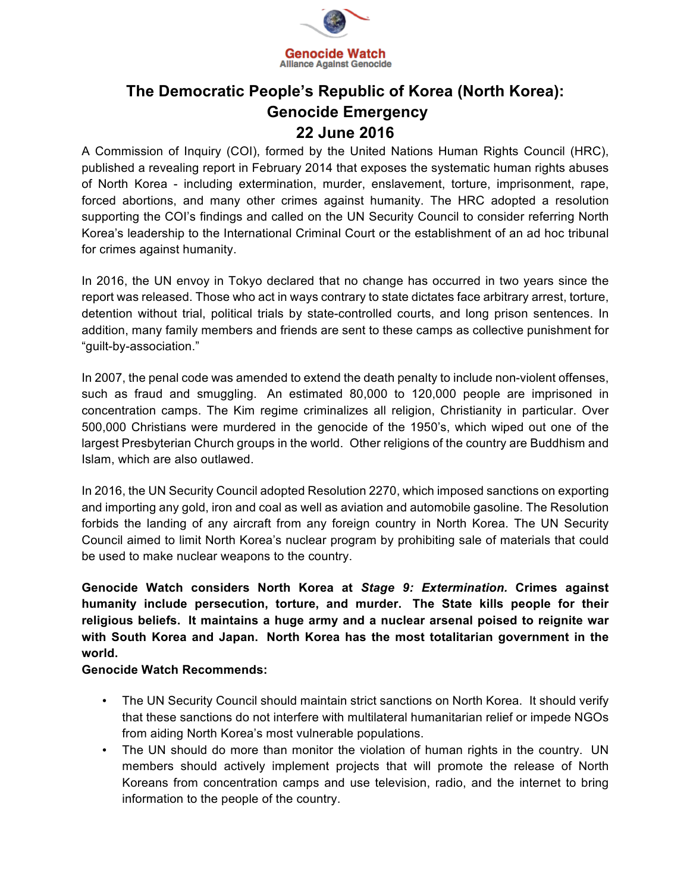

## **The Democratic People's Republic of Korea (North Korea): Genocide Emergency 22 June 2016**

A Commission of Inquiry (COI), formed by the United Nations Human Rights Council (HRC), published a revealing report in February 2014 that exposes the systematic human rights abuses of North Korea - including extermination, murder, enslavement, torture, imprisonment, rape, forced abortions, and many other crimes against humanity. The HRC adopted a resolution supporting the COI's findings and called on the UN Security Council to consider referring North Korea's leadership to the International Criminal Court or the establishment of an ad hoc tribunal for crimes against humanity.

In 2016, the UN envoy in Tokyo declared that no change has occurred in two years since the report was released. Those who act in ways contrary to state dictates face arbitrary arrest, torture, detention without trial, political trials by state-controlled courts, and long prison sentences. In addition, many family members and friends are sent to these camps as collective punishment for "guilt-by-association."

In 2007, the penal code was amended to extend the death penalty to include non-violent offenses, such as fraud and smuggling. An estimated 80,000 to 120,000 people are imprisoned in concentration camps. The Kim regime criminalizes all religion, Christianity in particular. Over 500,000 Christians were murdered in the genocide of the 1950's, which wiped out one of the largest Presbyterian Church groups in the world. Other religions of the country are Buddhism and Islam, which are also outlawed.

In 2016, the UN Security Council adopted Resolution 2270, which imposed sanctions on exporting and importing any gold, iron and coal as well as aviation and automobile gasoline. The Resolution forbids the landing of any aircraft from any foreign country in North Korea. The UN Security Council aimed to limit North Korea's nuclear program by prohibiting sale of materials that could be used to make nuclear weapons to the country.

**Genocide Watch considers North Korea at** *Stage 9: Extermination.* **Crimes against humanity include persecution, torture, and murder. The State kills people for their religious beliefs. It maintains a huge army and a nuclear arsenal poised to reignite war with South Korea and Japan. North Korea has the most totalitarian government in the world.**

## **Genocide Watch Recommends:**

- The UN Security Council should maintain strict sanctions on North Korea. It should verify that these sanctions do not interfere with multilateral humanitarian relief or impede NGOs from aiding North Korea's most vulnerable populations.
- The UN should do more than monitor the violation of human rights in the country. UN members should actively implement projects that will promote the release of North Koreans from concentration camps and use television, radio, and the internet to bring information to the people of the country.